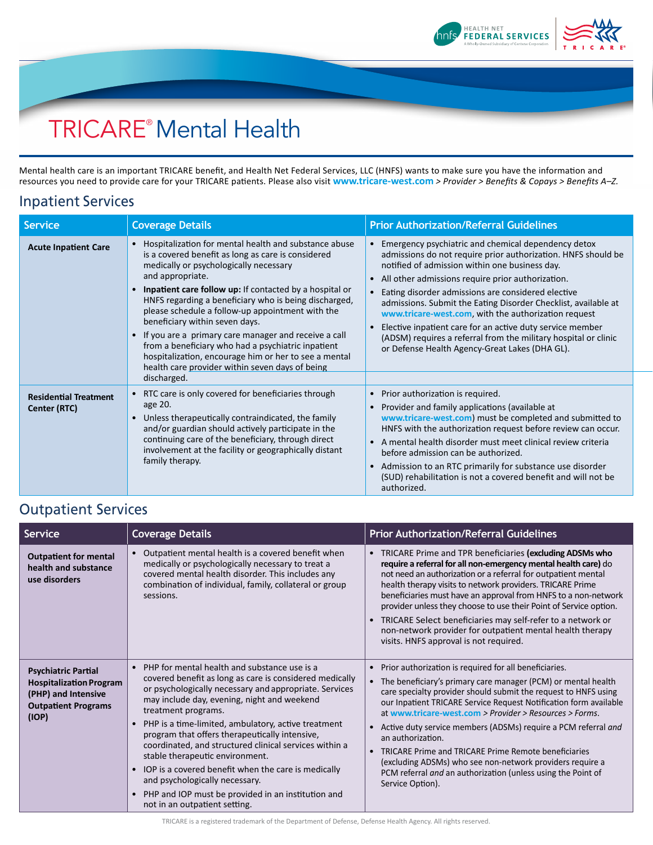

## TRICARE® Mental Health

Mental health care is an important TRICARE benefit, and Health Net Federal Services, LLC (HNFS) wants to make sure you have the information and resources you need to provide care for your TRICARE patients. Please also visit **[www.tricare-west.com](https://www.tricare-west.com/content/hnfs/home/tw/prov/benefits/benefits_a_to_z/mental_health/mh.html)** *> Provider > Benefits & Copays > Benefits A–Z.*

## Inpatient Services

| <b>Service</b>                               | <b>Coverage Details</b>                                                                                                                                                                                                                                                                                                                                                                                                                                                                                                                                                                                                             | <b>Prior Authorization/Referral Guidelines</b>                                                                                                                                                                                                                                                                                                                                                                                                                                                                                                                                                                          |
|----------------------------------------------|-------------------------------------------------------------------------------------------------------------------------------------------------------------------------------------------------------------------------------------------------------------------------------------------------------------------------------------------------------------------------------------------------------------------------------------------------------------------------------------------------------------------------------------------------------------------------------------------------------------------------------------|-------------------------------------------------------------------------------------------------------------------------------------------------------------------------------------------------------------------------------------------------------------------------------------------------------------------------------------------------------------------------------------------------------------------------------------------------------------------------------------------------------------------------------------------------------------------------------------------------------------------------|
| <b>Acute Inpatient Care</b>                  | Hospitalization for mental health and substance abuse<br>is a covered benefit as long as care is considered<br>medically or psychologically necessary<br>and appropriate.<br><b>Inpatient care follow up:</b> If contacted by a hospital or<br>HNFS regarding a beneficiary who is being discharged,<br>please schedule a follow-up appointment with the<br>beneficiary within seven days.<br>If you are a primary care manager and receive a call<br>from a beneficiary who had a psychiatric inpatient<br>hospitalization, encourage him or her to see a mental<br>health care provider within seven days of being<br>discharged. | Emergency psychiatric and chemical dependency detox<br>admissions do not require prior authorization. HNFS should be<br>notified of admission within one business day.<br>All other admissions require prior authorization.<br>$\bullet$<br>Eating disorder admissions are considered elective<br>$\bullet$<br>admissions. Submit the Eating Disorder Checklist, available at<br>www.tricare-west.com, with the authorization request<br>Elective inpatient care for an active duty service member<br>(ADSM) requires a referral from the military hospital or clinic<br>or Defense Health Agency-Great Lakes (DHA GL). |
| <b>Residential Treatment</b><br>Center (RTC) | RTC care is only covered for beneficiaries through<br>age 20.<br>Unless therapeutically contraindicated, the family<br>and/or guardian should actively participate in the<br>continuing care of the beneficiary, through direct<br>involvement at the facility or geographically distant<br>family therapy.                                                                                                                                                                                                                                                                                                                         | Prior authorization is required.<br>$\bullet$<br>Provider and family applications (available at<br>www.tricare-west.com) must be completed and submitted to<br>HNFS with the authorization request before review can occur.<br>A mental health disorder must meet clinical review criteria<br>before admission can be authorized.<br>Admission to an RTC primarily for substance use disorder<br>$\bullet$<br>(SUD) rehabilitation is not a covered benefit and will not be<br>authorized.                                                                                                                              |

## Outpatient Services

| Service                                                                                                                    | <b>Coverage Details</b>                                                                                                                                                                                                                                                                                                                                                                                                                                                                                                                                                                                                             | <b>Prior Authorization/Referral Guidelines</b>                                                                                                                                                                                                                                                                                                                                                                                                                                                                                                                                                                                                                                 |
|----------------------------------------------------------------------------------------------------------------------------|-------------------------------------------------------------------------------------------------------------------------------------------------------------------------------------------------------------------------------------------------------------------------------------------------------------------------------------------------------------------------------------------------------------------------------------------------------------------------------------------------------------------------------------------------------------------------------------------------------------------------------------|--------------------------------------------------------------------------------------------------------------------------------------------------------------------------------------------------------------------------------------------------------------------------------------------------------------------------------------------------------------------------------------------------------------------------------------------------------------------------------------------------------------------------------------------------------------------------------------------------------------------------------------------------------------------------------|
| <b>Outpatient for mental</b><br>health and substance<br>use disorders                                                      | Outpatient mental health is a covered benefit when<br>medically or psychologically necessary to treat a<br>covered mental health disorder. This includes any<br>combination of individual, family, collateral or group<br>sessions.                                                                                                                                                                                                                                                                                                                                                                                                 | TRICARE Prime and TPR beneficiaries (excluding ADSMs who<br>$\bullet$<br>require a referral for all non-emergency mental health care) do<br>not need an authorization or a referral for outpatient mental<br>health therapy visits to network providers. TRICARE Prime<br>beneficiaries must have an approval from HNFS to a non-network<br>provider unless they choose to use their Point of Service option.<br>TRICARE Select beneficiaries may self-refer to a network or<br>non-network provider for outpatient mental health therapy<br>visits. HNFS approval is not required.                                                                                            |
| <b>Psychiatric Partial</b><br><b>Hospitalization Program</b><br>(PHP) and Intensive<br><b>Outpatient Programs</b><br>(IOP) | • PHP for mental health and substance use is a<br>covered benefit as long as care is considered medically<br>or psychologically necessary and appropriate. Services<br>may include day, evening, night and weekend<br>treatment programs.<br>• PHP is a time-limited, ambulatory, active treatment<br>program that offers therapeutically intensive,<br>coordinated, and structured clinical services within a<br>stable therapeutic environment.<br>• IOP is a covered benefit when the care is medically<br>and psychologically necessary.<br>PHP and IOP must be provided in an institution and<br>not in an outpatient setting. | Prior authorization is required for all beneficiaries.<br>$\bullet$<br>The beneficiary's primary care manager (PCM) or mental health<br>$\bullet$<br>care specialty provider should submit the request to HNFS using<br>our Inpatient TRICARE Service Request Notification form available<br>at www.tricare-west.com > Provider > Resources > Forms.<br>Active duty service members (ADSMs) require a PCM referral and<br>$\bullet$<br>an authorization.<br>TRICARE Prime and TRICARE Prime Remote beneficiaries<br>$\bullet$<br>(excluding ADSMs) who see non-network providers require a<br>PCM referral and an authorization (unless using the Point of<br>Service Option). |

TRICARE is a registered trademark of the Department of Defense, Defense Health Agency. All rights reserved.